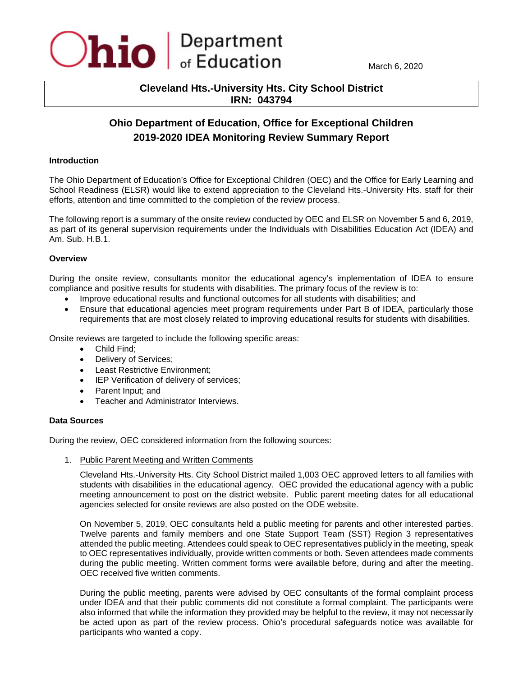

March 6, 2020

## **Cleveland Hts.-University Hts. City School District IRN: 043794**

# **Ohio Department of Education, Office for Exceptional Children 2019-2020 IDEA Monitoring Review Summary Report**

#### **Introduction**

The Ohio Department of Education's Office for Exceptional Children (OEC) and the Office for Early Learning and School Readiness (ELSR) would like to extend appreciation to the Cleveland Hts.-University Hts. staff for their efforts, attention and time committed to the completion of the review process.

The following report is a summary of the onsite review conducted by OEC and ELSR on November 5 and 6, 2019, as part of its general supervision requirements under the Individuals with Disabilities Education Act (IDEA) and Am. Sub. H.B.1.

## **Overview**

During the onsite review, consultants monitor the educational agency's implementation of IDEA to ensure compliance and positive results for students with disabilities. The primary focus of the review is to:

- Improve educational results and functional outcomes for all students with disabilities; and
- Ensure that educational agencies meet program requirements under Part B of IDEA, particularly those requirements that are most closely related to improving educational results for students with disabilities.

Onsite reviews are targeted to include the following specific areas:

- Child Find;
- Delivery of Services;
- Least Restrictive Environment;
- IEP Verification of delivery of services;
- Parent Input; and
- Teacher and Administrator Interviews.

#### **Data Sources**

During the review, OEC considered information from the following sources:

1. Public Parent Meeting and Written Comments

Cleveland Hts.-University Hts. City School District mailed 1,003 OEC approved letters to all families with students with disabilities in the educational agency. OEC provided the educational agency with a public meeting announcement to post on the district website. Public parent meeting dates for all educational agencies selected for onsite reviews are also posted on the ODE website.

On November 5, 2019, OEC consultants held a public meeting for parents and other interested parties. Twelve parents and family members and one State Support Team (SST) Region 3 representatives attended the public meeting. Attendees could speak to OEC representatives publicly in the meeting, speak to OEC representatives individually, provide written comments or both. Seven attendees made comments during the public meeting. Written comment forms were available before, during and after the meeting. OEC received five written comments.

During the public meeting, parents were advised by OEC consultants of the formal complaint process under IDEA and that their public comments did not constitute a formal complaint. The participants were also informed that while the information they provided may be helpful to the review, it may not necessarily be acted upon as part of the review process. Ohio's procedural safeguards notice was available for participants who wanted a copy.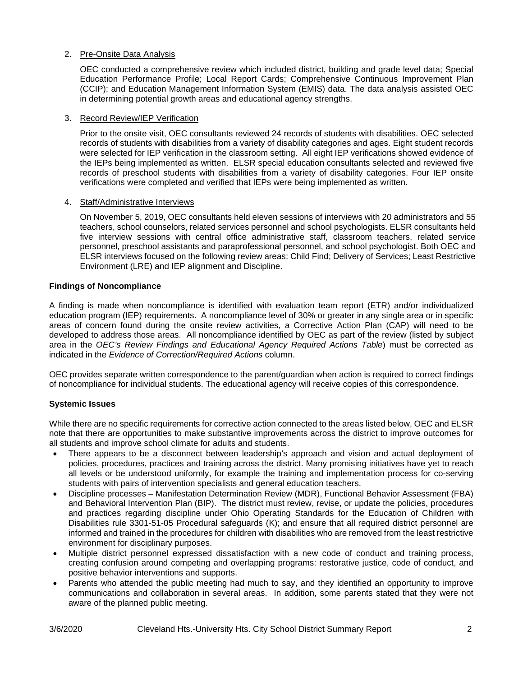## 2. Pre-Onsite Data Analysis

OEC conducted a comprehensive review which included district, building and grade level data; Special Education Performance Profile; Local Report Cards; Comprehensive Continuous Improvement Plan (CCIP); and Education Management Information System (EMIS) data. The data analysis assisted OEC in determining potential growth areas and educational agency strengths.

#### 3. Record Review/IEP Verification

Prior to the onsite visit, OEC consultants reviewed 24 records of students with disabilities. OEC selected records of students with disabilities from a variety of disability categories and ages. Eight student records were selected for IEP verification in the classroom setting. All eight IEP verifications showed evidence of the IEPs being implemented as written. ELSR special education consultants selected and reviewed five records of preschool students with disabilities from a variety of disability categories. Four IEP onsite verifications were completed and verified that IEPs were being implemented as written.

## 4. Staff/Administrative Interviews

On November 5, 2019, OEC consultants held eleven sessions of interviews with 20 administrators and 55 teachers, school counselors, related services personnel and school psychologists. ELSR consultants held five interview sessions with central office administrative staff, classroom teachers, related service personnel, preschool assistants and paraprofessional personnel, and school psychologist. Both OEC and ELSR interviews focused on the following review areas: Child Find; Delivery of Services; Least Restrictive Environment (LRE) and IEP alignment and Discipline.

## **Findings of Noncompliance**

A finding is made when noncompliance is identified with evaluation team report (ETR) and/or individualized education program (IEP) requirements. A noncompliance level of 30% or greater in any single area or in specific areas of concern found during the onsite review activities, a Corrective Action Plan (CAP) will need to be developed to address those areas. All noncompliance identified by OEC as part of the review (listed by subject area in the *OEC's Review Findings and Educational Agency Required Actions Table*) must be corrected as indicated in the *Evidence of Correction/Required Actions* column.

OEC provides separate written correspondence to the parent/guardian when action is required to correct findings of noncompliance for individual students. The educational agency will receive copies of this correspondence.

## **Systemic Issues**

While there are no specific requirements for corrective action connected to the areas listed below, OEC and ELSR note that there are opportunities to make substantive improvements across the district to improve outcomes for all students and improve school climate for adults and students.

- There appears to be a disconnect between leadership's approach and vision and actual deployment of policies, procedures, practices and training across the district. Many promising initiatives have yet to reach all levels or be understood uniformly, for example the training and implementation process for co-serving students with pairs of intervention specialists and general education teachers.
- Discipline processes Manifestation Determination Review (MDR), Functional Behavior Assessment (FBA) and Behavioral Intervention Plan (BIP). The district must review, revise, or update the policies, procedures and practices regarding discipline under Ohio Operating Standards for the Education of Children with Disabilities rule 3301-51-05 Procedural safeguards (K); and ensure that all required district personnel are informed and trained in the procedures for children with disabilities who are removed from the least restrictive environment for disciplinary purposes.
- Multiple district personnel expressed dissatisfaction with a new code of conduct and training process, creating confusion around competing and overlapping programs: restorative justice, code of conduct, and positive behavior interventions and supports.
- Parents who attended the public meeting had much to say, and they identified an opportunity to improve communications and collaboration in several areas. In addition, some parents stated that they were not aware of the planned public meeting.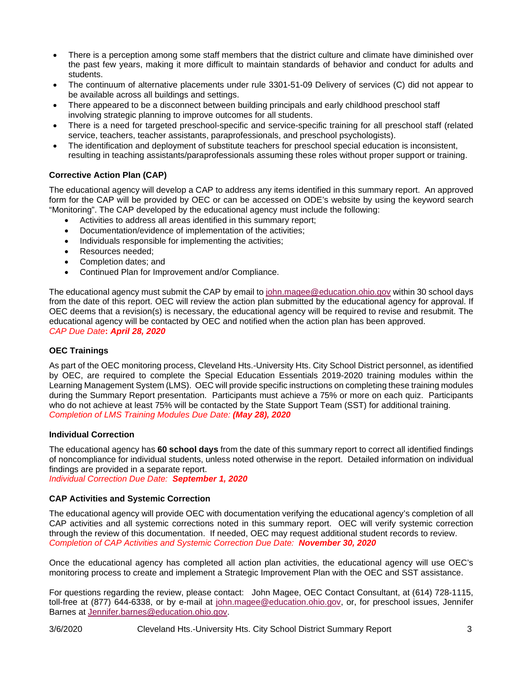- There is a perception among some staff members that the district culture and climate have diminished over the past few years, making it more difficult to maintain standards of behavior and conduct for adults and students.
- The continuum of alternative placements under rule 3301-51-09 Delivery of services (C) did not appear to be available across all buildings and settings.
- There appeared to be a disconnect between building principals and early childhood preschool staff involving strategic planning to improve outcomes for all students.
- There is a need for targeted preschool-specific and service-specific training for all preschool staff (related service, teachers, teacher assistants, paraprofessionals, and preschool psychologists).
- The identification and deployment of substitute teachers for preschool special education is inconsistent, resulting in teaching assistants/paraprofessionals assuming these roles without proper support or training.

## **Corrective Action Plan (CAP)**

The educational agency will develop a CAP to address any items identified in this summary report. An approved form for the CAP will be provided by OEC or can be accessed on ODE's website by using the keyword search "Monitoring". The CAP developed by the educational agency must include the following:

- Activities to address all areas identified in this summary report;
- Documentation/evidence of implementation of the activities;
- Individuals responsible for implementing the activities;
- Resources needed;
- Completion dates: and
- Continued Plan for Improvement and/or Compliance.

The educational agency must submit the CAP by email to [john.magee@education.ohio.gov](mailto:john.magee@education.ohio.gov) within 30 school days from the date of this report. OEC will review the action plan submitted by the educational agency for approval. If OEC deems that a revision(s) is necessary, the educational agency will be required to revise and resubmit. The educational agency will be contacted by OEC and notified when the action plan has been approved. *CAP Due Date***:** *April 28, 2020*

#### **OEC Trainings**

As part of the OEC monitoring process, Cleveland Hts.-University Hts. City School District personnel, as identified by OEC, are required to complete the Special Education Essentials 2019-2020 training modules within the Learning Management System (LMS). OEC will provide specific instructions on completing these training modules during the Summary Report presentation. Participants must achieve a 75% or more on each quiz. Participants who do not achieve at least 75% will be contacted by the State Support Team (SST) for additional training. *Completion of LMS Training Modules Due Date: (May 28), 2020*

#### **Individual Correction**

The educational agency has **60 school days** from the date of this summary report to correct all identified findings of noncompliance for individual students, unless noted otherwise in the report. Detailed information on individual findings are provided in a separate report. *Individual Correction Due Date: September 1, 2020*

## **CAP Activities and Systemic Correction**

The educational agency will provide OEC with documentation verifying the educational agency's completion of all CAP activities and all systemic corrections noted in this summary report. OEC will verify systemic correction through the review of this documentation. If needed, OEC may request additional student records to review. *Completion of CAP Activities and Systemic Correction Due Date: November 30, 2020*

Once the educational agency has completed all action plan activities, the educational agency will use OEC's monitoring process to create and implement a Strategic Improvement Plan with the OEC and SST assistance.

For questions regarding the review, please contact:John Magee, OEC Contact Consultant, at (614) 728-1115, toll-free at (877) 644-6338, or by e-mail at [john.magee@education.ohio.gov,](mailto:john.magee@education.ohio.gov) or, for preschool issues, Jennifer Barnes at [Jennifer.barnes@education.ohio.gov.](mailto:Jennifer.barnes@education.ohio.gov)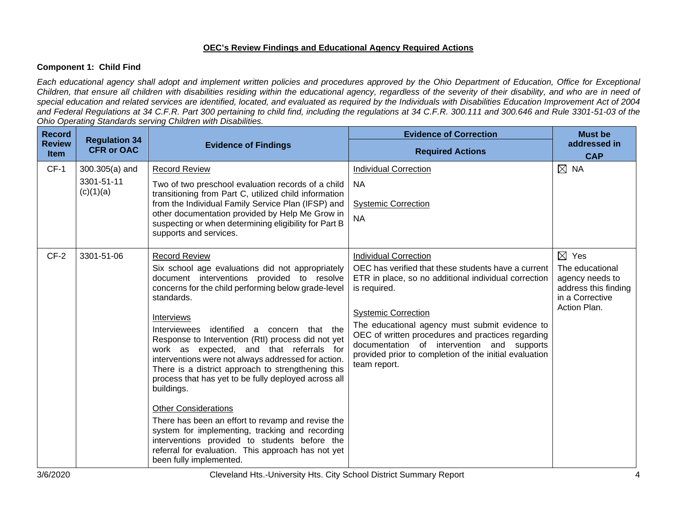#### **OEC's Review Findings and Educational Agency Required Actions**

## **Component 1: Child Find**

*Each educational agency shall adopt and implement written policies and procedures approved by the Ohio Department of Education, Office for Exceptional Children, that ensure all children with disabilities residing within the educational agency, regardless of the severity of their disability, and who are in need of special education and related services are identified, located, and evaluated as required by the Individuals with Disabilities Education Improvement Act of 2004 and Federal Regulations at 34 C.F.R. Part 300 pertaining to child find, including the regulations at 34 C.F.R. 300.111 and 300.646 and Rule 3301-51-03 of the Ohio Operating Standards serving Children with Disabilities.* 

| <b>Record</b>                | <b>Regulation 34</b>                                          |                                                                                                                                                                                                                                                                                           | <b>Evidence of Correction</b>                                                                                                                                                                                                                             | <b>Must be</b>                                                                |
|------------------------------|---------------------------------------------------------------|-------------------------------------------------------------------------------------------------------------------------------------------------------------------------------------------------------------------------------------------------------------------------------------------|-----------------------------------------------------------------------------------------------------------------------------------------------------------------------------------------------------------------------------------------------------------|-------------------------------------------------------------------------------|
| <b>Review</b><br><b>Item</b> | <b>CFR or OAC</b>                                             | <b>Evidence of Findings</b>                                                                                                                                                                                                                                                               | <b>Required Actions</b>                                                                                                                                                                                                                                   | addressed in<br><b>CAP</b>                                                    |
| $CF-1$                       | $300.305(a)$ and<br>3301-51-11                                | <b>Record Review</b><br>Two of two preschool evaluation records of a child                                                                                                                                                                                                                | <b>Individual Correction</b><br><b>NA</b>                                                                                                                                                                                                                 | $\boxtimes$ NA                                                                |
|                              | (c)(1)(a)                                                     | transitioning from Part C, utilized child information<br>from the Individual Family Service Plan (IFSP) and<br>other documentation provided by Help Me Grow in<br>suspecting or when determining eligibility for Part B<br>supports and services.                                         | <b>Systemic Correction</b><br><b>NA</b>                                                                                                                                                                                                                   |                                                                               |
| $CF-2$                       | 3301-51-06                                                    | <b>Record Review</b>                                                                                                                                                                                                                                                                      | <b>Individual Correction</b>                                                                                                                                                                                                                              | $\boxtimes$ Yes                                                               |
|                              |                                                               | Six school age evaluations did not appropriately<br>document interventions provided to resolve<br>concerns for the child performing below grade-level<br>standards.                                                                                                                       | OEC has verified that these students have a current<br>ETR in place, so no additional individual correction<br>is required.                                                                                                                               | The educational<br>agency needs to<br>address this finding<br>in a Corrective |
|                              | <b>Interviews</b><br>identified<br>Interviewees<br>buildings. | a concern that the<br>Response to Intervention (RtI) process did not yet<br>work as expected, and that referrals for<br>interventions were not always addressed for action.<br>There is a district approach to strengthening this<br>process that has yet to be fully deployed across all | <b>Systemic Correction</b><br>The educational agency must submit evidence to<br>OEC of written procedures and practices regarding<br>documentation of intervention and supports<br>provided prior to completion of the initial evaluation<br>team report. | Action Plan.                                                                  |
|                              |                                                               | <b>Other Considerations</b><br>There has been an effort to revamp and revise the<br>system for implementing, tracking and recording<br>interventions provided to students before the<br>referral for evaluation. This approach has not yet<br>been fully implemented.                     |                                                                                                                                                                                                                                                           |                                                                               |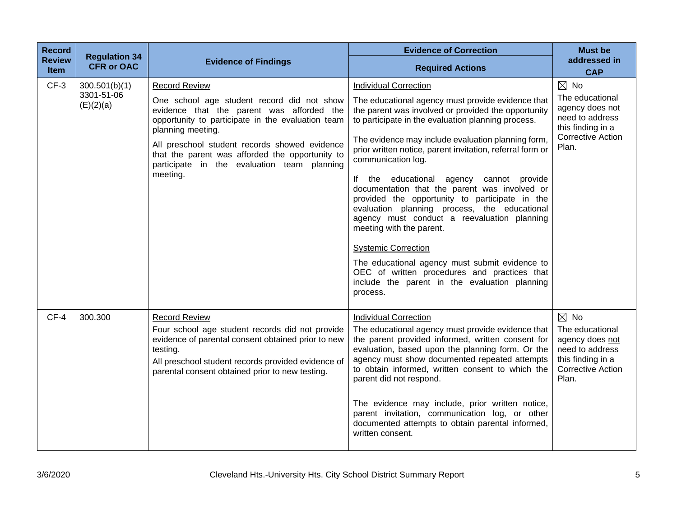| <b>Record</b><br><b>Review</b><br><b>Item</b> | <b>Regulation 34</b><br><b>CFR or OAC</b> | <b>Evidence of Findings</b>                                                                                                                                                                                                                                                                                                                              | <b>Evidence of Correction</b><br><b>Required Actions</b>                                                                                                                                                                                                                                                                                                                                                                                                                                                                                                                                                                                                                                                                                                                                                       | <b>Must be</b><br>addressed in<br><b>CAP</b>                                                                                      |
|-----------------------------------------------|-------------------------------------------|----------------------------------------------------------------------------------------------------------------------------------------------------------------------------------------------------------------------------------------------------------------------------------------------------------------------------------------------------------|----------------------------------------------------------------------------------------------------------------------------------------------------------------------------------------------------------------------------------------------------------------------------------------------------------------------------------------------------------------------------------------------------------------------------------------------------------------------------------------------------------------------------------------------------------------------------------------------------------------------------------------------------------------------------------------------------------------------------------------------------------------------------------------------------------------|-----------------------------------------------------------------------------------------------------------------------------------|
| $CF-3$                                        | 300.501(b)(1)<br>3301-51-06<br>(E)(2)(a)  | <b>Record Review</b><br>One school age student record did not show<br>evidence that the parent was afforded the<br>opportunity to participate in the evaluation team<br>planning meeting.<br>All preschool student records showed evidence<br>that the parent was afforded the opportunity to<br>participate in the evaluation team planning<br>meeting. | <b>Individual Correction</b><br>The educational agency must provide evidence that<br>the parent was involved or provided the opportunity<br>to participate in the evaluation planning process.<br>The evidence may include evaluation planning form,<br>prior written notice, parent invitation, referral form or<br>communication log.<br>If the educational agency cannot provide<br>documentation that the parent was involved or<br>provided the opportunity to participate in the<br>evaluation planning process, the educational<br>agency must conduct a reevaluation planning<br>meeting with the parent.<br><b>Systemic Correction</b><br>The educational agency must submit evidence to<br>OEC of written procedures and practices that<br>include the parent in the evaluation planning<br>process. | $\boxtimes$ No<br>The educational<br>agency does not<br>need to address<br>this finding in a<br><b>Corrective Action</b><br>Plan. |
| $CF-4$                                        | 300.300                                   | <b>Record Review</b><br>Four school age student records did not provide<br>evidence of parental consent obtained prior to new<br>testing.<br>All preschool student records provided evidence of<br>parental consent obtained prior to new testing.                                                                                                       | <b>Individual Correction</b><br>The educational agency must provide evidence that<br>the parent provided informed, written consent for<br>evaluation, based upon the planning form. Or the<br>agency must show documented repeated attempts<br>to obtain informed, written consent to which the<br>parent did not respond.<br>The evidence may include, prior written notice,<br>parent invitation, communication log, or other<br>documented attempts to obtain parental informed,<br>written consent.                                                                                                                                                                                                                                                                                                        | $\boxtimes$ No<br>The educational<br>agency does not<br>need to address<br>this finding in a<br><b>Corrective Action</b><br>Plan. |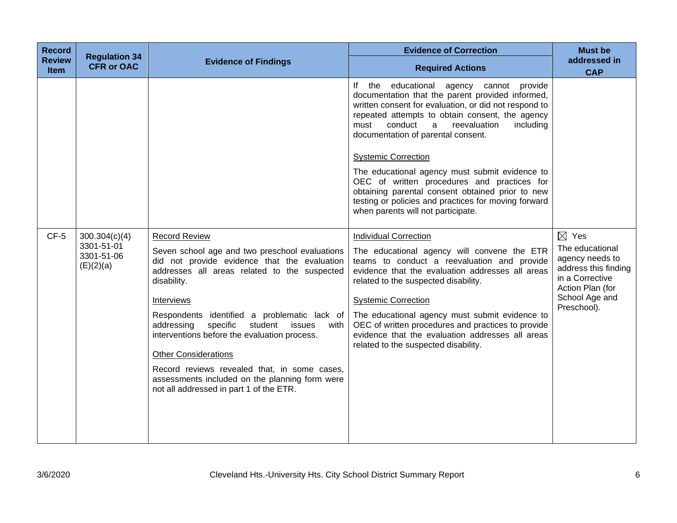| <b>Record</b><br><b>Review</b><br><b>Item</b> | <b>Regulation 34</b><br><b>CFR or OAC</b>              | <b>Evidence of Findings</b>                                                                                                                                                                                                                                                                                                                                                                                                                                                                                                            | <b>Evidence of Correction</b><br><b>Required Actions</b>                                                                                                                                                                                                                                                                                                                                                                                                                                                                                                                             | <b>Must be</b><br>addressed in<br><b>CAP</b>                                                                                                          |
|-----------------------------------------------|--------------------------------------------------------|----------------------------------------------------------------------------------------------------------------------------------------------------------------------------------------------------------------------------------------------------------------------------------------------------------------------------------------------------------------------------------------------------------------------------------------------------------------------------------------------------------------------------------------|--------------------------------------------------------------------------------------------------------------------------------------------------------------------------------------------------------------------------------------------------------------------------------------------------------------------------------------------------------------------------------------------------------------------------------------------------------------------------------------------------------------------------------------------------------------------------------------|-------------------------------------------------------------------------------------------------------------------------------------------------------|
|                                               |                                                        |                                                                                                                                                                                                                                                                                                                                                                                                                                                                                                                                        | If the educational agency cannot provide<br>documentation that the parent provided informed,<br>written consent for evaluation, or did not respond to<br>repeated attempts to obtain consent, the agency<br>conduct<br>reevaluation<br>including<br>must<br>a<br>documentation of parental consent.<br><b>Systemic Correction</b><br>The educational agency must submit evidence to<br>OEC of written procedures and practices for<br>obtaining parental consent obtained prior to new<br>testing or policies and practices for moving forward<br>when parents will not participate. |                                                                                                                                                       |
| $CF-5$                                        | 300.304(c)(4)<br>3301-51-01<br>3301-51-06<br>(E)(2)(a) | <b>Record Review</b><br>Seven school age and two preschool evaluations<br>did not provide evidence that the evaluation<br>addresses all areas related to the suspected<br>disability.<br>Interviews<br>Respondents identified a problematic lack of<br>specific<br>student<br>addressing<br>issues<br>with<br>interventions before the evaluation process.<br><b>Other Considerations</b><br>Record reviews revealed that, in some cases,<br>assessments included on the planning form were<br>not all addressed in part 1 of the ETR. | <b>Individual Correction</b><br>The educational agency will convene the ETR<br>teams to conduct a reevaluation and provide<br>evidence that the evaluation addresses all areas<br>related to the suspected disability.<br><b>Systemic Correction</b><br>The educational agency must submit evidence to<br>OEC of written procedures and practices to provide<br>evidence that the evaluation addresses all areas<br>related to the suspected disability.                                                                                                                             | $\boxtimes$ Yes<br>The educational<br>agency needs to<br>address this finding<br>in a Corrective<br>Action Plan (for<br>School Age and<br>Preschool). |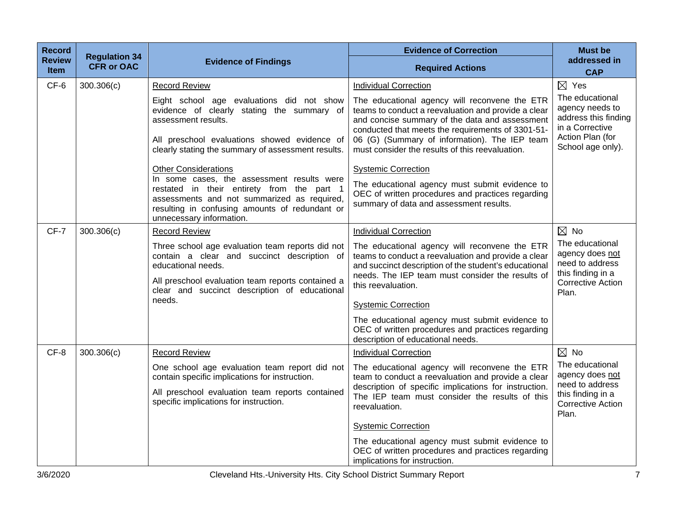| <b>Record</b>                | <b>Regulation 34</b> |                                                                                                                                                                                                                             | <b>Evidence of Correction</b>                                                                                                                                                                                                                                                                                   | <b>Must be</b>                                                                                                         |
|------------------------------|----------------------|-----------------------------------------------------------------------------------------------------------------------------------------------------------------------------------------------------------------------------|-----------------------------------------------------------------------------------------------------------------------------------------------------------------------------------------------------------------------------------------------------------------------------------------------------------------|------------------------------------------------------------------------------------------------------------------------|
| <b>Review</b><br><b>Item</b> | <b>CFR or OAC</b>    | <b>Evidence of Findings</b>                                                                                                                                                                                                 | <b>Required Actions</b>                                                                                                                                                                                                                                                                                         | addressed in<br><b>CAP</b>                                                                                             |
| CF-6                         | 300.306(c)           | <b>Record Review</b>                                                                                                                                                                                                        | <b>Individual Correction</b>                                                                                                                                                                                                                                                                                    | $\boxtimes$ Yes                                                                                                        |
|                              |                      | Eight school age evaluations did not show<br>evidence of clearly stating the summary of<br>assessment results.<br>All preschool evaluations showed evidence of<br>clearly stating the summary of assessment results.        | The educational agency will reconvene the ETR<br>teams to conduct a reevaluation and provide a clear<br>and concise summary of the data and assessment<br>conducted that meets the requirements of 3301-51-<br>06 (G) (Summary of information). The IEP team<br>must consider the results of this reevaluation. | The educational<br>agency needs to<br>address this finding<br>in a Corrective<br>Action Plan (for<br>School age only). |
|                              |                      | <b>Other Considerations</b>                                                                                                                                                                                                 | <b>Systemic Correction</b>                                                                                                                                                                                                                                                                                      |                                                                                                                        |
|                              |                      | In some cases, the assessment results were<br>restated in their entirety from the part 1<br>assessments and not summarized as required,<br>resulting in confusing amounts of redundant or<br>unnecessary information.       | The educational agency must submit evidence to<br>OEC of written procedures and practices regarding<br>summary of data and assessment results.                                                                                                                                                                  |                                                                                                                        |
| CF-7                         | 300.306(c)           | <b>Record Review</b>                                                                                                                                                                                                        | <b>Individual Correction</b>                                                                                                                                                                                                                                                                                    | $\boxtimes$ No                                                                                                         |
|                              |                      | Three school age evaluation team reports did not<br>contain a clear and succinct description of<br>educational needs.<br>All preschool evaluation team reports contained a<br>clear and succinct description of educational | The educational agency will reconvene the ETR<br>teams to conduct a reevaluation and provide a clear<br>and succinct description of the student's educational<br>needs. The IEP team must consider the results of<br>this reevaluation.                                                                         | The educational<br>agency does not<br>need to address<br>this finding in a<br><b>Corrective Action</b><br>Plan.        |
|                              |                      | needs.                                                                                                                                                                                                                      | <b>Systemic Correction</b>                                                                                                                                                                                                                                                                                      |                                                                                                                        |
|                              |                      |                                                                                                                                                                                                                             | The educational agency must submit evidence to<br>OEC of written procedures and practices regarding<br>description of educational needs.                                                                                                                                                                        |                                                                                                                        |
| CF-8                         | 300.306(c)           | <b>Record Review</b>                                                                                                                                                                                                        | <b>Individual Correction</b>                                                                                                                                                                                                                                                                                    | $\boxtimes$ No                                                                                                         |
|                              |                      | One school age evaluation team report did not<br>contain specific implications for instruction.                                                                                                                             | The educational agency will reconvene the ETR<br>team to conduct a reevaluation and provide a clear                                                                                                                                                                                                             | The educational<br>agency does not<br>need to address                                                                  |
|                              |                      | All preschool evaluation team reports contained<br>specific implications for instruction.                                                                                                                                   | description of specific implications for instruction.<br>The IEP team must consider the results of this<br>reevaluation.                                                                                                                                                                                        | this finding in a<br><b>Corrective Action</b><br>Plan.                                                                 |
|                              |                      |                                                                                                                                                                                                                             | <b>Systemic Correction</b>                                                                                                                                                                                                                                                                                      |                                                                                                                        |
|                              |                      |                                                                                                                                                                                                                             | The educational agency must submit evidence to<br>OEC of written procedures and practices regarding<br>implications for instruction.                                                                                                                                                                            |                                                                                                                        |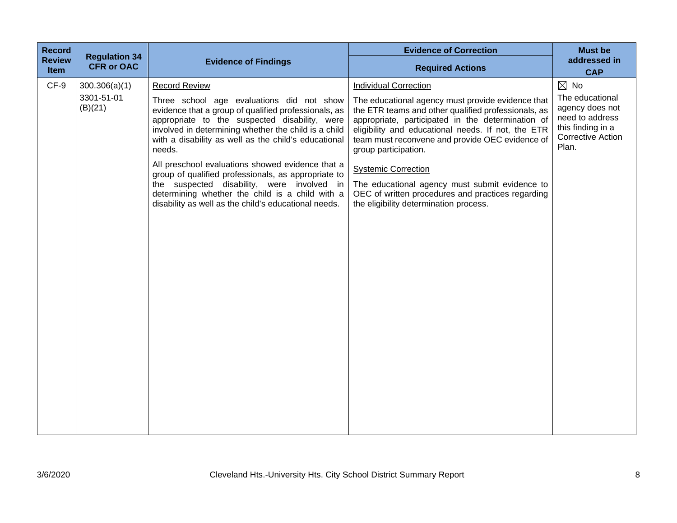| <b>Record</b>         | <b>Regulation 34</b>  |                                                                                                                                                                                                                                                                              | <b>Evidence of Correction</b>                                                                                                                                                                                                                                                                  | <b>Must be</b>                                                                                                                  |
|-----------------------|-----------------------|------------------------------------------------------------------------------------------------------------------------------------------------------------------------------------------------------------------------------------------------------------------------------|------------------------------------------------------------------------------------------------------------------------------------------------------------------------------------------------------------------------------------------------------------------------------------------------|---------------------------------------------------------------------------------------------------------------------------------|
| <b>Review</b><br>Item | <b>CFR or OAC</b>     | <b>Evidence of Findings</b>                                                                                                                                                                                                                                                  | <b>Required Actions</b>                                                                                                                                                                                                                                                                        | <b>CAP</b>                                                                                                                      |
| CF-9                  | 300.306(a)(1)         | <b>Record Review</b>                                                                                                                                                                                                                                                         | <b>Individual Correction</b>                                                                                                                                                                                                                                                                   | $\boxtimes$ No                                                                                                                  |
|                       | 3301-51-01<br>(B)(21) | Three school age evaluations did not show<br>evidence that a group of qualified professionals, as<br>appropriate to the suspected disability, were<br>involved in determining whether the child is a child<br>with a disability as well as the child's educational<br>needs. | The educational agency must provide evidence that<br>the ETR teams and other qualified professionals, as<br>appropriate, participated in the determination of<br>eligibility and educational needs. If not, the ETR<br>team must reconvene and provide OEC evidence of<br>group participation. | addressed in<br>The educational<br>agency does not<br>need to address<br>this finding in a<br><b>Corrective Action</b><br>Plan. |
|                       |                       | All preschool evaluations showed evidence that a<br>group of qualified professionals, as appropriate to                                                                                                                                                                      | <b>Systemic Correction</b>                                                                                                                                                                                                                                                                     |                                                                                                                                 |
|                       |                       | the suspected disability, were involved in<br>determining whether the child is a child with a<br>disability as well as the child's educational needs.                                                                                                                        | The educational agency must submit evidence to<br>OEC of written procedures and practices regarding<br>the eligibility determination process.                                                                                                                                                  |                                                                                                                                 |
|                       |                       |                                                                                                                                                                                                                                                                              |                                                                                                                                                                                                                                                                                                |                                                                                                                                 |
|                       |                       |                                                                                                                                                                                                                                                                              |                                                                                                                                                                                                                                                                                                |                                                                                                                                 |
|                       |                       |                                                                                                                                                                                                                                                                              |                                                                                                                                                                                                                                                                                                |                                                                                                                                 |
|                       |                       |                                                                                                                                                                                                                                                                              |                                                                                                                                                                                                                                                                                                |                                                                                                                                 |
|                       |                       |                                                                                                                                                                                                                                                                              |                                                                                                                                                                                                                                                                                                |                                                                                                                                 |
|                       |                       |                                                                                                                                                                                                                                                                              |                                                                                                                                                                                                                                                                                                |                                                                                                                                 |
|                       |                       |                                                                                                                                                                                                                                                                              |                                                                                                                                                                                                                                                                                                |                                                                                                                                 |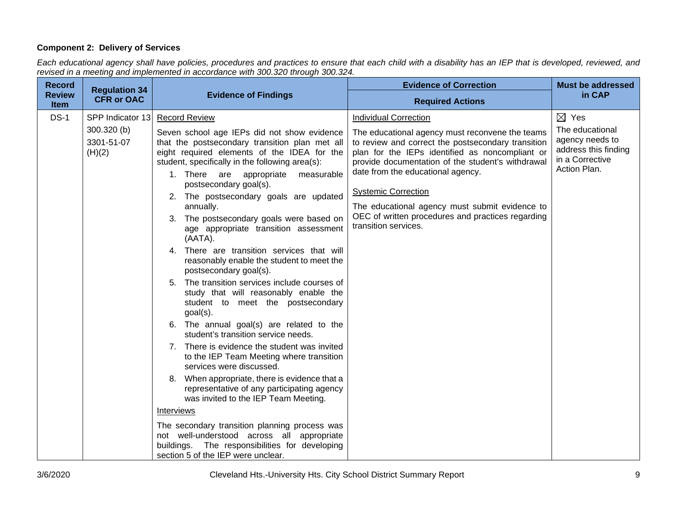## **Component 2: Delivery of Services**

*Each educational agency shall have policies, procedures and practices to ensure that each child with a disability has an IEP that is developed, reviewed, and revised in a meeting and implemented in accordance with 300.320 through 300.324.*

| <b>Record</b>                | <b>Regulation 34</b>                                      |                                                                                                                                                                                                                                                                                                                                                                                                                                                                                                                                                                                                                                                                                                                                                                                                                                                                                                                                                                                                                                                                                                                                                                                                                                                                                     | <b>Evidence of Correction</b>                                                                                                                                                                                                                                                                                                                                                                                                                   | <b>Must be addressed</b>                                                                                         |
|------------------------------|-----------------------------------------------------------|-------------------------------------------------------------------------------------------------------------------------------------------------------------------------------------------------------------------------------------------------------------------------------------------------------------------------------------------------------------------------------------------------------------------------------------------------------------------------------------------------------------------------------------------------------------------------------------------------------------------------------------------------------------------------------------------------------------------------------------------------------------------------------------------------------------------------------------------------------------------------------------------------------------------------------------------------------------------------------------------------------------------------------------------------------------------------------------------------------------------------------------------------------------------------------------------------------------------------------------------------------------------------------------|-------------------------------------------------------------------------------------------------------------------------------------------------------------------------------------------------------------------------------------------------------------------------------------------------------------------------------------------------------------------------------------------------------------------------------------------------|------------------------------------------------------------------------------------------------------------------|
| <b>Review</b><br><b>Item</b> | <b>CFR or OAC</b>                                         | <b>Evidence of Findings</b>                                                                                                                                                                                                                                                                                                                                                                                                                                                                                                                                                                                                                                                                                                                                                                                                                                                                                                                                                                                                                                                                                                                                                                                                                                                         | <b>Required Actions</b>                                                                                                                                                                                                                                                                                                                                                                                                                         | in CAP                                                                                                           |
| $DS-1$                       | SPP Indicator 13<br>$300.320$ (b)<br>3301-51-07<br>(H)(2) | <b>Record Review</b><br>Seven school age IEPs did not show evidence<br>that the postsecondary transition plan met all<br>eight required elements of the IDEA for the<br>student, specifically in the following area(s):<br>1. There are appropriate<br>measurable<br>postsecondary goal(s).<br>2. The postsecondary goals are updated<br>annually.<br>3. The postsecondary goals were based on<br>age appropriate transition assessment<br>(AATA).<br>4. There are transition services that will<br>reasonably enable the student to meet the<br>postsecondary goal(s).<br>5. The transition services include courses of<br>study that will reasonably enable the<br>student to meet the postsecondary<br>$goal(s)$ .<br>6. The annual goal(s) are related to the<br>student's transition service needs.<br>7. There is evidence the student was invited<br>to the IEP Team Meeting where transition<br>services were discussed.<br>8. When appropriate, there is evidence that a<br>representative of any participating agency<br>was invited to the IEP Team Meeting.<br><b>Interviews</b><br>The secondary transition planning process was<br>not well-understood across all appropriate<br>buildings. The responsibilities for developing<br>section 5 of the IEP were unclear. | <b>Individual Correction</b><br>The educational agency must reconvene the teams<br>to review and correct the postsecondary transition<br>plan for the IEPs identified as noncompliant or<br>provide documentation of the student's withdrawal<br>date from the educational agency.<br><b>Systemic Correction</b><br>The educational agency must submit evidence to<br>OEC of written procedures and practices regarding<br>transition services. | $\boxtimes$ Yes<br>The educational<br>agency needs to<br>address this finding<br>in a Corrective<br>Action Plan. |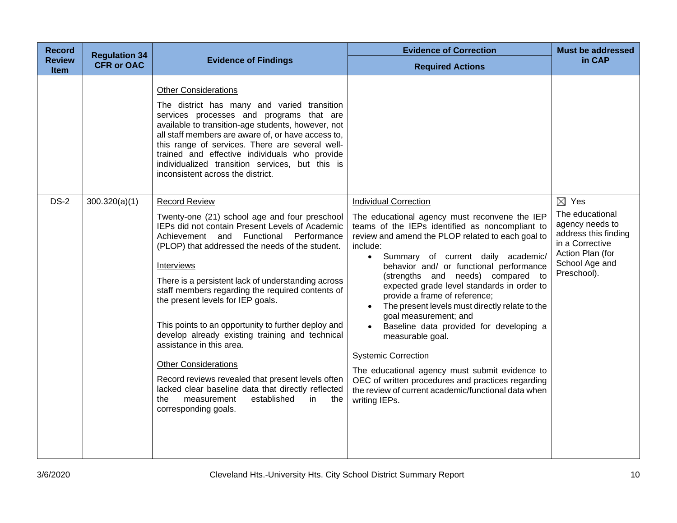| <b>Record</b>         | <b>Regulation 34</b> |                                                                                                                                                                                                                                                                                                                                                                                                                                                                                                                                                                                                                                                                                                                                               | <b>Evidence of Correction</b>                                                                                                                                                                                                                                                                                                                                                                                                                                                                                                                                                                                                                                                                                                                                 | <b>Must be addressed</b>                                                                                                                              |
|-----------------------|----------------------|-----------------------------------------------------------------------------------------------------------------------------------------------------------------------------------------------------------------------------------------------------------------------------------------------------------------------------------------------------------------------------------------------------------------------------------------------------------------------------------------------------------------------------------------------------------------------------------------------------------------------------------------------------------------------------------------------------------------------------------------------|---------------------------------------------------------------------------------------------------------------------------------------------------------------------------------------------------------------------------------------------------------------------------------------------------------------------------------------------------------------------------------------------------------------------------------------------------------------------------------------------------------------------------------------------------------------------------------------------------------------------------------------------------------------------------------------------------------------------------------------------------------------|-------------------------------------------------------------------------------------------------------------------------------------------------------|
| <b>Review</b><br>Item | <b>CFR or OAC</b>    | <b>Evidence of Findings</b>                                                                                                                                                                                                                                                                                                                                                                                                                                                                                                                                                                                                                                                                                                                   | <b>Required Actions</b>                                                                                                                                                                                                                                                                                                                                                                                                                                                                                                                                                                                                                                                                                                                                       | in CAP                                                                                                                                                |
|                       |                      | <b>Other Considerations</b><br>The district has many and varied transition<br>services processes and programs that are<br>available to transition-age students, however, not<br>all staff members are aware of, or have access to,<br>this range of services. There are several well-<br>trained and effective individuals who provide<br>individualized transition services, but this is<br>inconsistent across the district.                                                                                                                                                                                                                                                                                                                |                                                                                                                                                                                                                                                                                                                                                                                                                                                                                                                                                                                                                                                                                                                                                               |                                                                                                                                                       |
| <b>DS-2</b>           | 300.320(a)(1)        | <b>Record Review</b><br>Twenty-one (21) school age and four preschool<br>IEPs did not contain Present Levels of Academic<br>Achievement and Functional Performance<br>(PLOP) that addressed the needs of the student.<br>Interviews<br>There is a persistent lack of understanding across<br>staff members regarding the required contents of<br>the present levels for IEP goals.<br>This points to an opportunity to further deploy and<br>develop already existing training and technical<br>assistance in this area.<br><b>Other Considerations</b><br>Record reviews revealed that present levels often<br>lacked clear baseline data that directly reflected<br>established<br>the<br>measurement<br>in.<br>the<br>corresponding goals. | <b>Individual Correction</b><br>The educational agency must reconvene the IEP<br>teams of the IEPs identified as noncompliant to<br>review and amend the PLOP related to each goal to<br>include:<br>Summary of current daily academic/<br>behavior and/ or functional performance<br>(strengths and needs) compared to<br>expected grade level standards in order to<br>provide a frame of reference;<br>The present levels must directly relate to the<br>goal measurement; and<br>Baseline data provided for developing a<br>measurable goal.<br><b>Systemic Correction</b><br>The educational agency must submit evidence to<br>OEC of written procedures and practices regarding<br>the review of current academic/functional data when<br>writing IEPs. | $\boxtimes$ Yes<br>The educational<br>agency needs to<br>address this finding<br>in a Corrective<br>Action Plan (for<br>School Age and<br>Preschool). |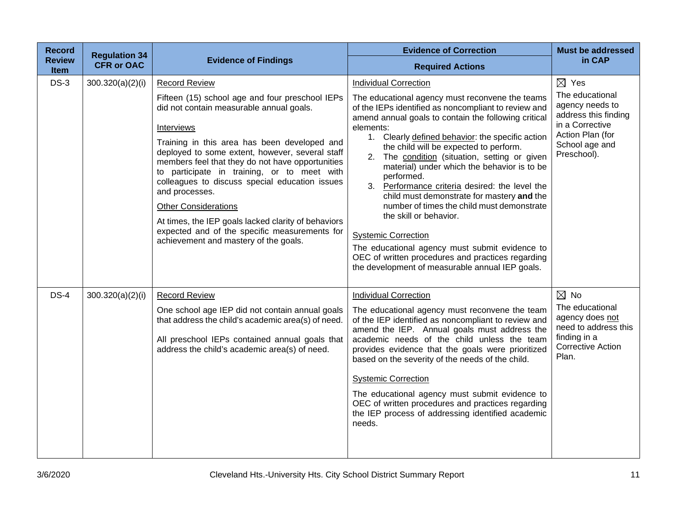| <b>Record</b>                | <b>Regulation 34</b> |                                                                                                                                                                                                                                                                                                                                                                                                                                                                                                                                                                                             | <b>Evidence of Correction</b>                                                                                                                                                                                                                                                                                                                                                                                                                                                                                                                                                                                                                                                                                                                                                            | <b>Must be addressed</b>                                                                                                                              |
|------------------------------|----------------------|---------------------------------------------------------------------------------------------------------------------------------------------------------------------------------------------------------------------------------------------------------------------------------------------------------------------------------------------------------------------------------------------------------------------------------------------------------------------------------------------------------------------------------------------------------------------------------------------|------------------------------------------------------------------------------------------------------------------------------------------------------------------------------------------------------------------------------------------------------------------------------------------------------------------------------------------------------------------------------------------------------------------------------------------------------------------------------------------------------------------------------------------------------------------------------------------------------------------------------------------------------------------------------------------------------------------------------------------------------------------------------------------|-------------------------------------------------------------------------------------------------------------------------------------------------------|
| <b>Review</b><br><b>Item</b> | <b>CFR or OAC</b>    | <b>Evidence of Findings</b>                                                                                                                                                                                                                                                                                                                                                                                                                                                                                                                                                                 | <b>Required Actions</b>                                                                                                                                                                                                                                                                                                                                                                                                                                                                                                                                                                                                                                                                                                                                                                  | in CAP                                                                                                                                                |
| $DS-3$                       | 300.320(a)(2)(i)     | <b>Record Review</b><br>Fifteen (15) school age and four preschool IEPs<br>did not contain measurable annual goals.<br>Interviews<br>Training in this area has been developed and<br>deployed to some extent, however, several staff<br>members feel that they do not have opportunities<br>to participate in training, or to meet with<br>colleagues to discuss special education issues<br>and processes.<br><b>Other Considerations</b><br>At times, the IEP goals lacked clarity of behaviors<br>expected and of the specific measurements for<br>achievement and mastery of the goals. | <b>Individual Correction</b><br>The educational agency must reconvene the teams<br>of the IEPs identified as noncompliant to review and<br>amend annual goals to contain the following critical<br>elements:<br>1. Clearly defined behavior: the specific action<br>the child will be expected to perform.<br>2. The condition (situation, setting or given<br>material) under which the behavior is to be<br>performed.<br>3. Performance criteria desired: the level the<br>child must demonstrate for mastery and the<br>number of times the child must demonstrate<br>the skill or behavior.<br><b>Systemic Correction</b><br>The educational agency must submit evidence to<br>OEC of written procedures and practices regarding<br>the development of measurable annual IEP goals. | $\boxtimes$ Yes<br>The educational<br>agency needs to<br>address this finding<br>in a Corrective<br>Action Plan (for<br>School age and<br>Preschool). |
| $DS-4$                       | 300.320(a)(2)(i)     | <b>Record Review</b><br>One school age IEP did not contain annual goals<br>that address the child's academic area(s) of need.<br>All preschool IEPs contained annual goals that<br>address the child's academic area(s) of need.                                                                                                                                                                                                                                                                                                                                                            | <b>Individual Correction</b><br>The educational agency must reconvene the team<br>of the IEP identified as noncompliant to review and<br>amend the IEP. Annual goals must address the<br>academic needs of the child unless the team<br>provides evidence that the goals were prioritized<br>based on the severity of the needs of the child.<br><b>Systemic Correction</b><br>The educational agency must submit evidence to<br>OEC of written procedures and practices regarding<br>the IEP process of addressing identified academic<br>needs.                                                                                                                                                                                                                                        | $\boxtimes$ No<br>The educational<br>agency does not<br>need to address this<br>finding in a<br><b>Corrective Action</b><br>Plan.                     |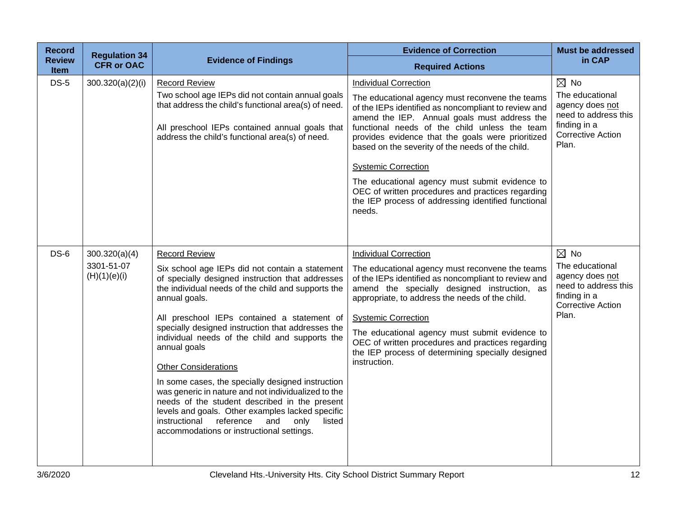| <b>Record</b>                | <b>Regulation 34</b>                        |                                                                                                                                                                                                                                                                                                                                                                                                                                                                                                                                                                                                                                                                                                                           | <b>Evidence of Correction</b>                                                                                                                                                                                                                                                                                                                                                                                                                                                                                                                           | <b>Must be addressed</b>                                                                                                          |
|------------------------------|---------------------------------------------|---------------------------------------------------------------------------------------------------------------------------------------------------------------------------------------------------------------------------------------------------------------------------------------------------------------------------------------------------------------------------------------------------------------------------------------------------------------------------------------------------------------------------------------------------------------------------------------------------------------------------------------------------------------------------------------------------------------------------|---------------------------------------------------------------------------------------------------------------------------------------------------------------------------------------------------------------------------------------------------------------------------------------------------------------------------------------------------------------------------------------------------------------------------------------------------------------------------------------------------------------------------------------------------------|-----------------------------------------------------------------------------------------------------------------------------------|
| <b>Review</b><br><b>Item</b> | <b>CFR or OAC</b>                           | <b>Evidence of Findings</b>                                                                                                                                                                                                                                                                                                                                                                                                                                                                                                                                                                                                                                                                                               | <b>Required Actions</b>                                                                                                                                                                                                                                                                                                                                                                                                                                                                                                                                 | in CAP                                                                                                                            |
| <b>DS-5</b>                  | 300.320(a)(2)(i)                            | <b>Record Review</b><br>Two school age IEPs did not contain annual goals<br>that address the child's functional area(s) of need.<br>All preschool IEPs contained annual goals that<br>address the child's functional area(s) of need.                                                                                                                                                                                                                                                                                                                                                                                                                                                                                     | <b>Individual Correction</b><br>The educational agency must reconvene the teams<br>of the IEPs identified as noncompliant to review and<br>amend the IEP. Annual goals must address the<br>functional needs of the child unless the team<br>provides evidence that the goals were prioritized<br>based on the severity of the needs of the child.<br><b>Systemic Correction</b><br>The educational agency must submit evidence to<br>OEC of written procedures and practices regarding<br>the IEP process of addressing identified functional<br>needs. | $\boxtimes$ No<br>The educational<br>agency does not<br>need to address this<br>finding in a<br><b>Corrective Action</b><br>Plan. |
| $DS-6$                       | 300.320(a)(4)<br>3301-51-07<br>(H)(1)(e)(i) | <b>Record Review</b><br>Six school age IEPs did not contain a statement<br>of specially designed instruction that addresses<br>the individual needs of the child and supports the<br>annual goals.<br>All preschool IEPs contained a statement of<br>specially designed instruction that addresses the<br>individual needs of the child and supports the<br>annual goals<br><b>Other Considerations</b><br>In some cases, the specially designed instruction<br>was generic in nature and not individualized to the<br>needs of the student described in the present<br>levels and goals. Other examples lacked specific<br>instructional reference<br>and<br>listed<br>only<br>accommodations or instructional settings. | <b>Individual Correction</b><br>The educational agency must reconvene the teams<br>of the IEPs identified as noncompliant to review and<br>amend the specially designed instruction, as<br>appropriate, to address the needs of the child.<br><b>Systemic Correction</b><br>The educational agency must submit evidence to<br>OEC of written procedures and practices regarding<br>the IEP process of determining specially designed<br>instruction.                                                                                                    | $\boxtimes$ No<br>The educational<br>agency does not<br>need to address this<br>finding in a<br><b>Corrective Action</b><br>Plan. |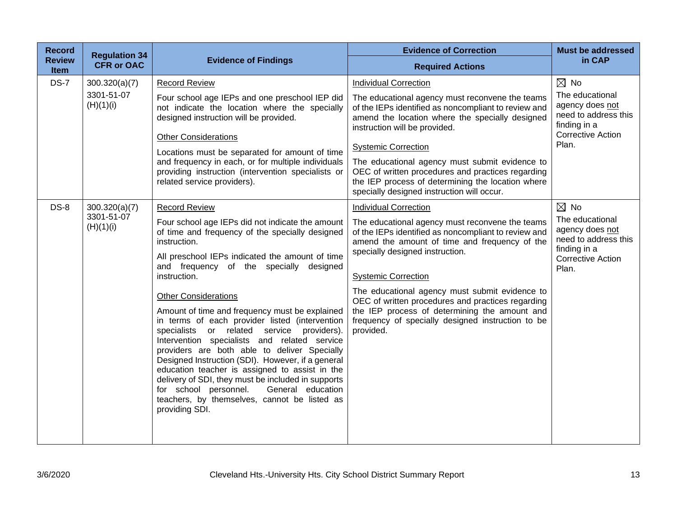| <b>Record</b>                | <b>Regulation 34</b>                                                                                                                                                                                                                                         |                                                                                                                                                                                                                                                                                                                                                                                                                                                                                                                                                            | <b>Evidence of Correction</b>                                                                                                                                                                                          | <b>Must be addressed</b>                                                                               |
|------------------------------|--------------------------------------------------------------------------------------------------------------------------------------------------------------------------------------------------------------------------------------------------------------|------------------------------------------------------------------------------------------------------------------------------------------------------------------------------------------------------------------------------------------------------------------------------------------------------------------------------------------------------------------------------------------------------------------------------------------------------------------------------------------------------------------------------------------------------------|------------------------------------------------------------------------------------------------------------------------------------------------------------------------------------------------------------------------|--------------------------------------------------------------------------------------------------------|
| <b>Review</b><br><b>Item</b> | <b>CFR or OAC</b>                                                                                                                                                                                                                                            | <b>Evidence of Findings</b>                                                                                                                                                                                                                                                                                                                                                                                                                                                                                                                                | <b>Required Actions</b>                                                                                                                                                                                                | in CAP                                                                                                 |
| <b>DS-7</b>                  | 300.320(a)(7)                                                                                                                                                                                                                                                | <b>Record Review</b>                                                                                                                                                                                                                                                                                                                                                                                                                                                                                                                                       | <b>Individual Correction</b>                                                                                                                                                                                           | $\boxtimes$ No                                                                                         |
|                              | 3301-51-07<br>(H)(1)(i)                                                                                                                                                                                                                                      | Four school age IEPs and one preschool IEP did<br>not indicate the location where the specially<br>designed instruction will be provided.                                                                                                                                                                                                                                                                                                                                                                                                                  | The educational agency must reconvene the teams<br>of the IEPs identified as noncompliant to review and<br>amend the location where the specially designed<br>instruction will be provided.                            | The educational<br>agency does not<br>need to address this<br>finding in a<br><b>Corrective Action</b> |
|                              |                                                                                                                                                                                                                                                              | <b>Other Considerations</b><br>Locations must be separated for amount of time                                                                                                                                                                                                                                                                                                                                                                                                                                                                              | <b>Systemic Correction</b>                                                                                                                                                                                             | Plan.                                                                                                  |
|                              |                                                                                                                                                                                                                                                              | and frequency in each, or for multiple individuals<br>providing instruction (intervention specialists or<br>related service providers).                                                                                                                                                                                                                                                                                                                                                                                                                    | The educational agency must submit evidence to<br>OEC of written procedures and practices regarding<br>the IEP process of determining the location where<br>specially designed instruction will occur.                 |                                                                                                        |
| $DS-8$                       | 300.320(a)(7)                                                                                                                                                                                                                                                | <b>Record Review</b>                                                                                                                                                                                                                                                                                                                                                                                                                                                                                                                                       | <b>Individual Correction</b>                                                                                                                                                                                           | $\boxtimes$ No                                                                                         |
|                              | 3301-51-07<br>Four school age IEPs did not indicate the amount<br>(H)(1)(i)<br>of time and frequency of the specially designed<br>instruction.<br>All preschool IEPs indicated the amount of time<br>and frequency of the specially designed<br>instruction. | The educational agency must reconvene the teams<br>of the IEPs identified as noncompliant to review and<br>amend the amount of time and frequency of the<br>specially designed instruction.<br><b>Systemic Correction</b>                                                                                                                                                                                                                                                                                                                                  | The educational<br>agency does not<br>need to address this<br>finding in a<br><b>Corrective Action</b><br>Plan.                                                                                                        |                                                                                                        |
|                              |                                                                                                                                                                                                                                                              | <b>Other Considerations</b><br>Amount of time and frequency must be explained<br>in terms of each provider listed (intervention<br>specialists or related service providers).<br>Intervention specialists and related service<br>providers are both able to deliver Specially<br>Designed Instruction (SDI). However, if a general<br>education teacher is assigned to assist in the<br>delivery of SDI, they must be included in supports<br>for school personnel.<br>General education<br>teachers, by themselves, cannot be listed as<br>providing SDI. | The educational agency must submit evidence to<br>OEC of written procedures and practices regarding<br>the IEP process of determining the amount and<br>frequency of specially designed instruction to be<br>provided. |                                                                                                        |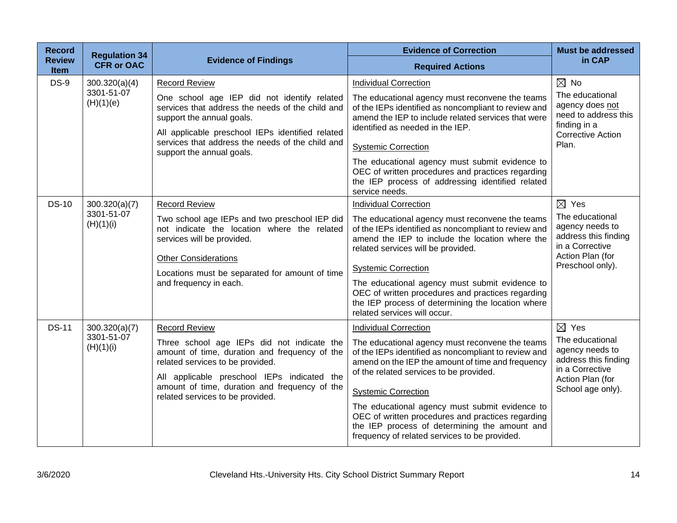| <b>Record</b>                | <b>Regulation 34</b>                     |                                                                                                                                                                                                                                                                                             | <b>Evidence of Correction</b>                                                                                                                                                                                                                                                                                                                                                                                                                                                  | <b>Must be addressed</b>                                                                                                                  |
|------------------------------|------------------------------------------|---------------------------------------------------------------------------------------------------------------------------------------------------------------------------------------------------------------------------------------------------------------------------------------------|--------------------------------------------------------------------------------------------------------------------------------------------------------------------------------------------------------------------------------------------------------------------------------------------------------------------------------------------------------------------------------------------------------------------------------------------------------------------------------|-------------------------------------------------------------------------------------------------------------------------------------------|
| <b>Review</b><br><b>Item</b> | <b>CFR or OAC</b>                        | <b>Evidence of Findings</b>                                                                                                                                                                                                                                                                 | <b>Required Actions</b>                                                                                                                                                                                                                                                                                                                                                                                                                                                        | in CAP                                                                                                                                    |
| <b>DS-9</b>                  | 300.320(a)(4)<br>3301-51-07<br>(H)(1)(e) | <b>Record Review</b><br>One school age IEP did not identify related<br>services that address the needs of the child and<br>support the annual goals.<br>All applicable preschool IEPs identified related<br>services that address the needs of the child and<br>support the annual goals.   | <b>Individual Correction</b><br>The educational agency must reconvene the teams<br>of the IEPs identified as noncompliant to review and<br>amend the IEP to include related services that were<br>identified as needed in the IEP.<br><b>Systemic Correction</b><br>The educational agency must submit evidence to<br>OEC of written procedures and practices regarding<br>the IEP process of addressing identified related<br>service needs.                                  | $\boxtimes$ No<br>The educational<br>agency does not<br>need to address this<br>finding in a<br><b>Corrective Action</b><br>Plan.         |
| <b>DS-10</b>                 | 300.320(a)(7)<br>3301-51-07<br>(H)(1)(i) | <b>Record Review</b><br>Two school age IEPs and two preschool IEP did<br>not indicate the location where the related<br>services will be provided.<br><b>Other Considerations</b><br>Locations must be separated for amount of time<br>and frequency in each.                               | <b>Individual Correction</b><br>The educational agency must reconvene the teams<br>of the IEPs identified as noncompliant to review and<br>amend the IEP to include the location where the<br>related services will be provided.<br><b>Systemic Correction</b><br>The educational agency must submit evidence to<br>OEC of written procedures and practices regarding<br>the IEP process of determining the location where<br>related services will occur.                     | $\boxtimes$ Yes<br>The educational<br>agency needs to<br>address this finding<br>in a Corrective<br>Action Plan (for<br>Preschool only).  |
| <b>DS-11</b>                 | 300.320(a)(7)<br>3301-51-07<br>(H)(1)(i) | <b>Record Review</b><br>Three school age IEPs did not indicate the<br>amount of time, duration and frequency of the<br>related services to be provided.<br>All applicable preschool IEPs indicated the<br>amount of time, duration and frequency of the<br>related services to be provided. | <b>Individual Correction</b><br>The educational agency must reconvene the teams<br>of the IEPs identified as noncompliant to review and<br>amend on the IEP the amount of time and frequency<br>of the related services to be provided.<br><b>Systemic Correction</b><br>The educational agency must submit evidence to<br>OEC of written procedures and practices regarding<br>the IEP process of determining the amount and<br>frequency of related services to be provided. | $\boxtimes$ Yes<br>The educational<br>agency needs to<br>address this finding<br>in a Corrective<br>Action Plan (for<br>School age only). |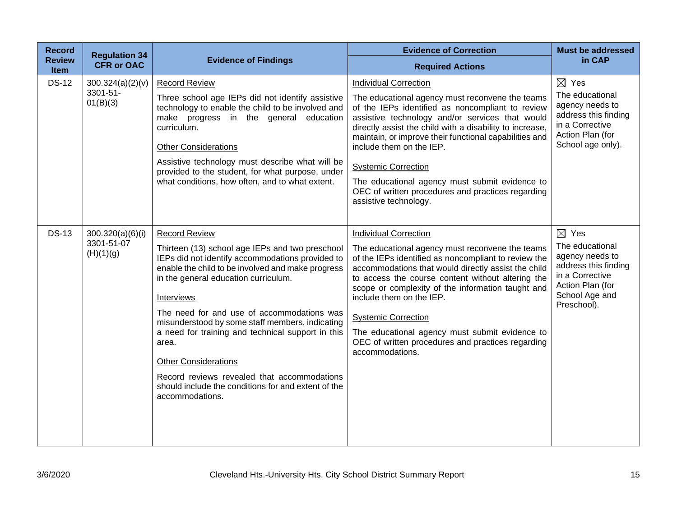| <b>Record</b><br><b>Review</b> | <b>Regulation 34</b><br><b>CFR or OAC</b> | <b>Evidence of Findings</b>                                                                                                                                                                                                                                                                                                                                                                                                                                                                                                           | <b>Evidence of Correction</b>                                                                                                                                                                                                                                                                                                                                                                                                                                | <b>Must be addressed</b><br>in CAP                                                                                                 |
|--------------------------------|-------------------------------------------|---------------------------------------------------------------------------------------------------------------------------------------------------------------------------------------------------------------------------------------------------------------------------------------------------------------------------------------------------------------------------------------------------------------------------------------------------------------------------------------------------------------------------------------|--------------------------------------------------------------------------------------------------------------------------------------------------------------------------------------------------------------------------------------------------------------------------------------------------------------------------------------------------------------------------------------------------------------------------------------------------------------|------------------------------------------------------------------------------------------------------------------------------------|
| <b>Item</b>                    |                                           |                                                                                                                                                                                                                                                                                                                                                                                                                                                                                                                                       | <b>Required Actions</b>                                                                                                                                                                                                                                                                                                                                                                                                                                      |                                                                                                                                    |
| <b>DS-12</b>                   | 300.324(a)(2)(v)                          | <b>Record Review</b>                                                                                                                                                                                                                                                                                                                                                                                                                                                                                                                  | <b>Individual Correction</b>                                                                                                                                                                                                                                                                                                                                                                                                                                 | $\boxtimes$ Yes                                                                                                                    |
|                                | 3301-51-<br>01(B)(3)                      | Three school age IEPs did not identify assistive<br>technology to enable the child to be involved and<br>make progress in the general education<br>curriculum.<br><b>Other Considerations</b>                                                                                                                                                                                                                                                                                                                                         | The educational agency must reconvene the teams<br>of the IEPs identified as noncompliant to review<br>assistive technology and/or services that would<br>directly assist the child with a disability to increase,<br>maintain, or improve their functional capabilities and<br>include them on the IEP.                                                                                                                                                     | The educational<br>agency needs to<br>address this finding<br>in a Corrective<br>Action Plan (for<br>School age only).             |
|                                |                                           | Assistive technology must describe what will be                                                                                                                                                                                                                                                                                                                                                                                                                                                                                       |                                                                                                                                                                                                                                                                                                                                                                                                                                                              |                                                                                                                                    |
|                                |                                           | provided to the student, for what purpose, under                                                                                                                                                                                                                                                                                                                                                                                                                                                                                      | <b>Systemic Correction</b>                                                                                                                                                                                                                                                                                                                                                                                                                                   |                                                                                                                                    |
|                                |                                           | what conditions, how often, and to what extent.                                                                                                                                                                                                                                                                                                                                                                                                                                                                                       | The educational agency must submit evidence to<br>OEC of written procedures and practices regarding<br>assistive technology.                                                                                                                                                                                                                                                                                                                                 |                                                                                                                                    |
| <b>DS-13</b>                   | 300.320(a)(6)(i)                          | <b>Record Review</b>                                                                                                                                                                                                                                                                                                                                                                                                                                                                                                                  | <b>Individual Correction</b>                                                                                                                                                                                                                                                                                                                                                                                                                                 | $\boxtimes$ Yes                                                                                                                    |
|                                | 3301-51-07<br>(H)(1)(g)                   | Thirteen (13) school age IEPs and two preschool<br>IEPs did not identify accommodations provided to<br>enable the child to be involved and make progress<br>in the general education curriculum.<br>Interviews<br>The need for and use of accommodations was<br>misunderstood by some staff members, indicating<br>a need for training and technical support in this<br>area.<br><b>Other Considerations</b><br>Record reviews revealed that accommodations<br>should include the conditions for and extent of the<br>accommodations. | The educational agency must reconvene the teams<br>of the IEPs identified as noncompliant to review the<br>accommodations that would directly assist the child<br>to access the course content without altering the<br>scope or complexity of the information taught and<br>include them on the IEP.<br><b>Systemic Correction</b><br>The educational agency must submit evidence to<br>OEC of written procedures and practices regarding<br>accommodations. | The educational<br>agency needs to<br>address this finding<br>in a Corrective<br>Action Plan (for<br>School Age and<br>Preschool). |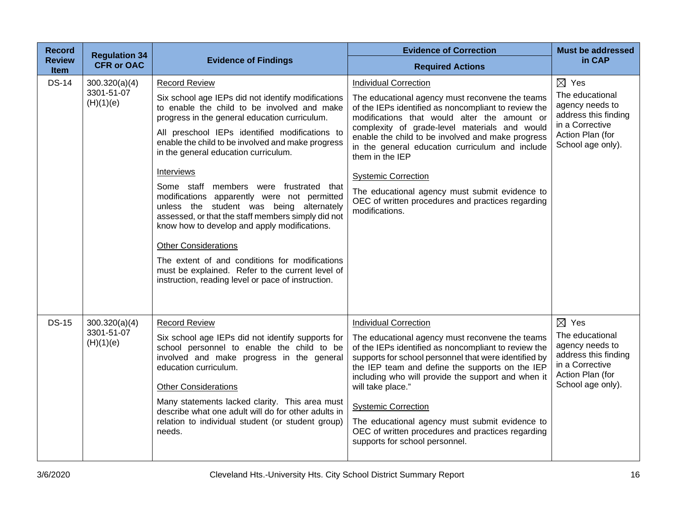| <b>Record</b><br><b>Review</b><br><b>Item</b> | <b>Regulation 34</b><br><b>CFR or OAC</b> | <b>Evidence of Findings</b>                                                                                                                                                                                                                                                                                                                                                                                                                                                                                                                                                                                                                                                                                                                                                    | <b>Evidence of Correction</b>                                                                                                                                                                                                                                                                                                                                                                                                                                                                                              | <b>Must be addressed</b><br>in CAP                                                                                                        |
|-----------------------------------------------|-------------------------------------------|--------------------------------------------------------------------------------------------------------------------------------------------------------------------------------------------------------------------------------------------------------------------------------------------------------------------------------------------------------------------------------------------------------------------------------------------------------------------------------------------------------------------------------------------------------------------------------------------------------------------------------------------------------------------------------------------------------------------------------------------------------------------------------|----------------------------------------------------------------------------------------------------------------------------------------------------------------------------------------------------------------------------------------------------------------------------------------------------------------------------------------------------------------------------------------------------------------------------------------------------------------------------------------------------------------------------|-------------------------------------------------------------------------------------------------------------------------------------------|
|                                               |                                           |                                                                                                                                                                                                                                                                                                                                                                                                                                                                                                                                                                                                                                                                                                                                                                                | <b>Required Actions</b>                                                                                                                                                                                                                                                                                                                                                                                                                                                                                                    |                                                                                                                                           |
| <b>DS-14</b>                                  | 300.320(a)(4)<br>3301-51-07<br>(H)(1)(e)  | <b>Record Review</b><br>Six school age IEPs did not identify modifications<br>to enable the child to be involved and make<br>progress in the general education curriculum.<br>All preschool IEPs identified modifications to<br>enable the child to be involved and make progress<br>in the general education curriculum.<br>Interviews<br>Some staff members were frustrated that<br>modifications apparently were not permitted<br>unless the student was being alternately<br>assessed, or that the staff members simply did not<br>know how to develop and apply modifications.<br><b>Other Considerations</b><br>The extent of and conditions for modifications<br>must be explained. Refer to the current level of<br>instruction, reading level or pace of instruction. | <b>Individual Correction</b><br>The educational agency must reconvene the teams<br>of the IEPs identified as noncompliant to review the<br>modifications that would alter the amount or<br>complexity of grade-level materials and would<br>enable the child to be involved and make progress<br>in the general education curriculum and include<br>them in the IEP<br><b>Systemic Correction</b><br>The educational agency must submit evidence to<br>OEC of written procedures and practices regarding<br>modifications. | $\boxtimes$ Yes<br>The educational<br>agency needs to<br>address this finding<br>in a Corrective<br>Action Plan (for<br>School age only). |
| <b>DS-15</b>                                  | 300.320(a)(4)<br>3301-51-07<br>(H)(1)(e)  | <b>Record Review</b><br>Six school age IEPs did not identify supports for<br>school personnel to enable the child to be<br>involved and make progress in the general<br>education curriculum.<br><b>Other Considerations</b><br>Many statements lacked clarity. This area must<br>describe what one adult will do for other adults in<br>relation to individual student (or student group)<br>needs.                                                                                                                                                                                                                                                                                                                                                                           | <b>Individual Correction</b><br>The educational agency must reconvene the teams<br>of the IEPs identified as noncompliant to review the<br>supports for school personnel that were identified by<br>the IEP team and define the supports on the IEP<br>including who will provide the support and when it<br>will take place."<br><b>Systemic Correction</b><br>The educational agency must submit evidence to<br>OEC of written procedures and practices regarding<br>supports for school personnel.                      | $\boxtimes$ Yes<br>The educational<br>agency needs to<br>address this finding<br>in a Corrective<br>Action Plan (for<br>School age only). |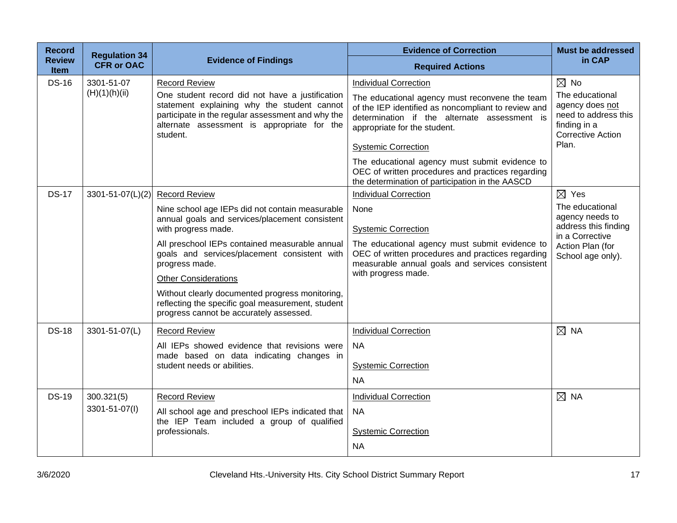| <b>Record</b>                | <b>Regulation 34</b>        |                                                                                                                                                                                                                                                                                                                                                                                                                                                        | <b>Evidence of Correction</b>                                                                                                                                                                                                                                                                                                                              | <b>Must be addressed</b>                                                                                                                  |
|------------------------------|-----------------------------|--------------------------------------------------------------------------------------------------------------------------------------------------------------------------------------------------------------------------------------------------------------------------------------------------------------------------------------------------------------------------------------------------------------------------------------------------------|------------------------------------------------------------------------------------------------------------------------------------------------------------------------------------------------------------------------------------------------------------------------------------------------------------------------------------------------------------|-------------------------------------------------------------------------------------------------------------------------------------------|
| <b>Review</b><br><b>Item</b> | <b>CFR or OAC</b>           | <b>Evidence of Findings</b>                                                                                                                                                                                                                                                                                                                                                                                                                            | <b>Required Actions</b>                                                                                                                                                                                                                                                                                                                                    | in CAP                                                                                                                                    |
| <b>DS-16</b>                 | 3301-51-07<br>(H)(1)(h)(ii) | <b>Record Review</b><br>One student record did not have a justification<br>statement explaining why the student cannot<br>participate in the regular assessment and why the<br>alternate assessment is appropriate for the<br>student.                                                                                                                                                                                                                 | <b>Individual Correction</b><br>The educational agency must reconvene the team<br>of the IEP identified as noncompliant to review and<br>determination if the alternate assessment is<br>appropriate for the student.<br><b>Systemic Correction</b><br>The educational agency must submit evidence to<br>OEC of written procedures and practices regarding | $\boxtimes$ No<br>The educational<br>agency does not<br>need to address this<br>finding in a<br><b>Corrective Action</b><br>Plan.         |
| <b>DS-17</b>                 | 3301-51-07(L)(2)            | <b>Record Review</b><br>Nine school age IEPs did not contain measurable<br>annual goals and services/placement consistent<br>with progress made.<br>All preschool IEPs contained measurable annual<br>goals and services/placement consistent with<br>progress made.<br><b>Other Considerations</b><br>Without clearly documented progress monitoring,<br>reflecting the specific goal measurement, student<br>progress cannot be accurately assessed. | the determination of participation in the AASCD<br><b>Individual Correction</b><br>None<br><b>Systemic Correction</b><br>The educational agency must submit evidence to<br>OEC of written procedures and practices regarding<br>measurable annual goals and services consistent<br>with progress made.                                                     | $\boxtimes$ Yes<br>The educational<br>agency needs to<br>address this finding<br>in a Corrective<br>Action Plan (for<br>School age only). |
| <b>DS-18</b>                 | 3301-51-07(L)               | <b>Record Review</b><br>All IEPs showed evidence that revisions were<br>made based on data indicating changes in<br>student needs or abilities.                                                                                                                                                                                                                                                                                                        | <b>Individual Correction</b><br><b>NA</b><br><b>Systemic Correction</b><br><b>NA</b>                                                                                                                                                                                                                                                                       | $\boxtimes$ NA                                                                                                                            |
| <b>DS-19</b>                 | 300.321(5)<br>3301-51-07(I) | <b>Record Review</b><br>All school age and preschool IEPs indicated that<br>the IEP Team included a group of qualified<br>professionals.                                                                                                                                                                                                                                                                                                               | <b>Individual Correction</b><br><b>NA</b><br><b>Systemic Correction</b><br><b>NA</b>                                                                                                                                                                                                                                                                       | $\boxtimes$ NA                                                                                                                            |